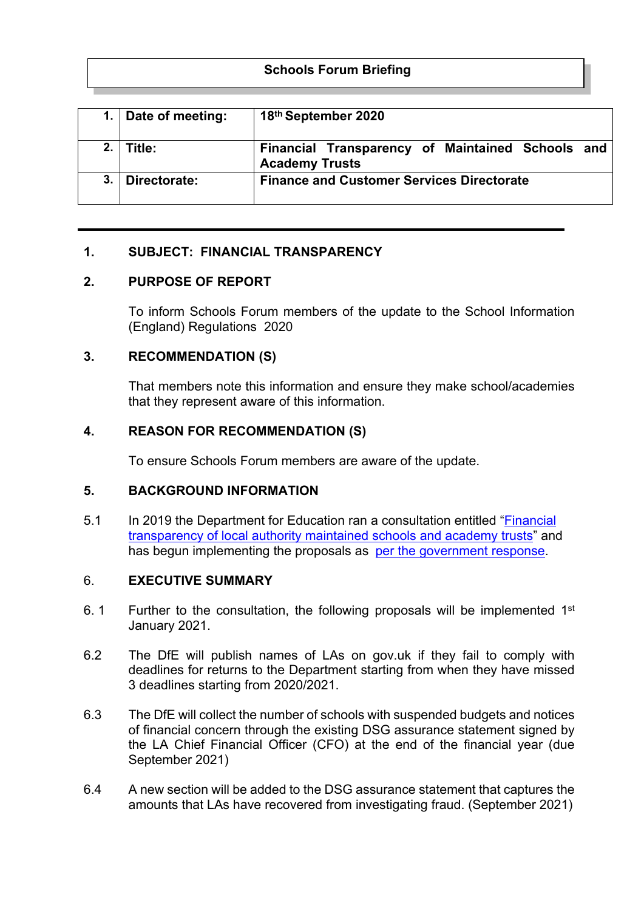# **Schools Forum Briefing**

|    | 1. Date of meeting: | 18th September 2020                                                       |
|----|---------------------|---------------------------------------------------------------------------|
|    | ∣ Title:            | Financial Transparency of Maintained Schools and<br><b>Academy Trusts</b> |
| 3. | Directorate:        | <b>Finance and Customer Services Directorate</b>                          |

## **1. SUBJECT: FINANCIAL TRANSPARENCY**

## **2. PURPOSE OF REPORT**

To inform Schools Forum members of the update to the School Information (England) Regulations 2020

## **3. RECOMMENDATION (S)**

That members note this information and ensure they make school/academies that they represent aware of this information.

## **4. REASON FOR RECOMMENDATION (S)**

To ensure Schools Forum members are aware of the update.

#### **5. BACKGROUND INFORMATION**

5.1 In 2019 the Department for Education ran a consultation entitled ["Financial](https://eur02.safelinks.protection.outlook.com/?url=https%3A%2F%2Fnews.esfagov.uk%2F6463BC2ED97F8F8330F4DC8A6E4D2AC7EFD73E7ACD36E1B8DE888DB0BEDD9AA4%2F4E7C69A83466C7A0B6BE713F7BA62113%2FLE35&data=02%7C01%7Cvera.njegic%40rotherham.gov.uk%7C79eda4c157384ed3bbfe08d84f40d0af%7C46fbe6fd78ae47699c1dbcea97378af6%7C0%7C0%7C637346487082382506&sdata=iRn6CwfchWM9jrJYEhPEkK4tIurlHsvEQ%2BGkUvgzJwM%3D&reserved=0) [transparency](https://eur02.safelinks.protection.outlook.com/?url=https%3A%2F%2Fnews.esfagov.uk%2F6463BC2ED97F8F8330F4DC8A6E4D2AC7EFD73E7ACD36E1B8DE888DB0BEDD9AA4%2F4E7C69A83466C7A0B6BE713F7BA62113%2FLE35&data=02%7C01%7Cvera.njegic%40rotherham.gov.uk%7C79eda4c157384ed3bbfe08d84f40d0af%7C46fbe6fd78ae47699c1dbcea97378af6%7C0%7C0%7C637346487082382506&sdata=iRn6CwfchWM9jrJYEhPEkK4tIurlHsvEQ%2BGkUvgzJwM%3D&reserved=0) of local authority maintained schools and academy trusts" and has begun implementing the proposals as per the [government](https://eur02.safelinks.protection.outlook.com/?url=https%3A%2F%2Fnews.esfagov.uk%2FFBD1B020D570103C755272512685F51679577C5C82F551BB3893A04A69FBAD86%2F4E7C69A83466C7A0B6BE713F7BA62113%2FLE35&data=02%7C01%7Cvera.njegic%40rotherham.gov.uk%7C79eda4c157384ed3bbfe08d84f40d0af%7C46fbe6fd78ae47699c1dbcea97378af6%7C0%7C0%7C637346487082392462&sdata=R%2FUrV7c9jh8AvRq9lWvyx5mqOy9XuOijLwMVltELvNQ%3D&reserved=0) response.

#### 6. **EXECUTIVE SUMMARY**

- 6. 1 Further to the consultation, the following proposals will be implemented 1<sup>st</sup> January 2021.
- 6.2 The DfE will publish names of LAs on gov.uk if they fail to comply with deadlines for returns to the Department starting from when they have missed 3 deadlines starting from 2020/2021.
- 6.3 The DfE will collect the number of schools with suspended budgets and notices of financial concern through the existing DSG assurance statement signed by the LA Chief Financial Officer (CFO) at the end of the financial year (due September 2021)
- 6.4 A new section will be added to the DSG assurance statement that captures the amounts that LAs have recovered from investigating fraud. (September 2021)